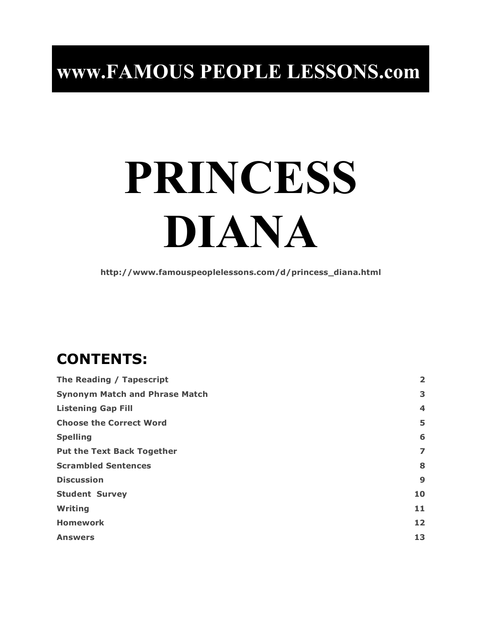## **www.FAMOUS PEOPLE LESSONS.com**

# **PRINCESS DIANA**

**http://www.famouspeoplelessons.com/d/princess\_diana.html**

## **CONTENTS:**

| The Reading / Tapescript              |                         |
|---------------------------------------|-------------------------|
| <b>Synonym Match and Phrase Match</b> |                         |
| <b>Listening Gap Fill</b>             | $\overline{\mathbf{4}}$ |
| <b>Choose the Correct Word</b>        | 5                       |
| <b>Spelling</b>                       | 6                       |
| <b>Put the Text Back Together</b>     | 7                       |
| <b>Scrambled Sentences</b>            | 8                       |
| <b>Discussion</b>                     | 9                       |
| <b>Student Survey</b>                 | 10                      |
| Writing                               | 11                      |
| <b>Homework</b>                       | 12                      |
| <b>Answers</b>                        | 13                      |
|                                       |                         |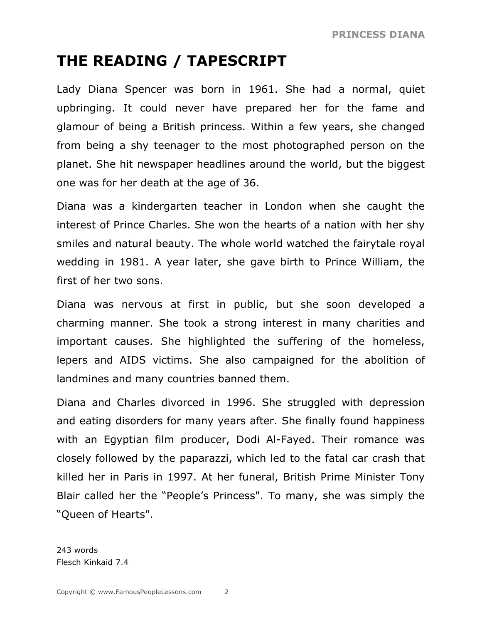## **THE READING / TAPESCRIPT**

Lady Diana Spencer was born in 1961. She had a normal, quiet upbringing. It could never have prepared her for the fame and glamour of being a British princess. Within a few years, she changed from being a shy teenager to the most photographed person on the planet. She hit newspaper headlines around the world, but the biggest one was for her death at the age of 36.

Diana was a kindergarten teacher in London when she caught the interest of Prince Charles. She won the hearts of a nation with her shy smiles and natural beauty. The whole world watched the fairytale royal wedding in 1981. A year later, she gave birth to Prince William, the first of her two sons.

Diana was nervous at first in public, but she soon developed a charming manner. She took a strong interest in many charities and important causes. She highlighted the suffering of the homeless, lepers and AIDS victims. She also campaigned for the abolition of landmines and many countries banned them.

Diana and Charles divorced in 1996. She struggled with depression and eating disorders for many years after. She finally found happiness with an Egyptian film producer, Dodi Al-Fayed. Their romance was closely followed by the paparazzi, which led to the fatal car crash that killed her in Paris in 1997. At her funeral, British Prime Minister Tony Blair called her the "People's Princess". To many, she was simply the "Queen of Hearts".

243 words Flesch Kinkaid 7.4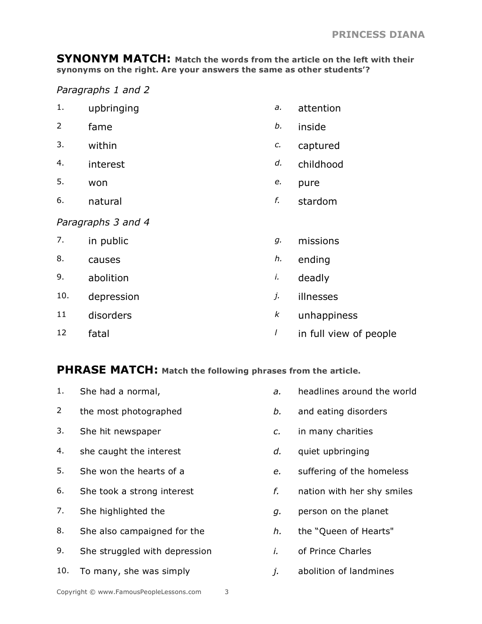**SYNONYM MATCH: Match the words from the article on the left with their synonyms on the right. Are your answers the same as other students'?**

#### *Paragraphs 1 and 2*

| upbringing |  | attention |
|------------|--|-----------|
|------------|--|-----------|

- 2 fame *b.* inside
- 3. within *c.* captured
- 4. interest *d.* childhood
- 5. won *e.* pure
- 6. natural *f.* stardom

#### *Paragraphs 3 and 4*

- 7. in public *g.* missions
- 8. causes *h.* ending
- 9. abolition *i.* deadly
- 10. depression *j.* illnesses
- 11 disorders *k* unhappiness
- 12 fatal **12** fatal **lates in the lates of people**

#### **PHRASE MATCH: Match the following phrases from the article.**

1. She had a normal, *a.* headlines around the world 2 the most photographed *b.* and eating disorders 3. She hit newspaper *c.* in many charities 4. she caught the interest *d.* quiet upbringing 5. She won the hearts of a *e.* suffering of the homeless 6. She took a strong interest *f.* nation with her shy smiles 7. She highlighted the *g.* person on the planet 8. She also campaigned for the *h.* the "Queen of Hearts" 9. She struggled with depression *i.* of Prince Charles 10. To many, she was simply *j.* abolition of landmines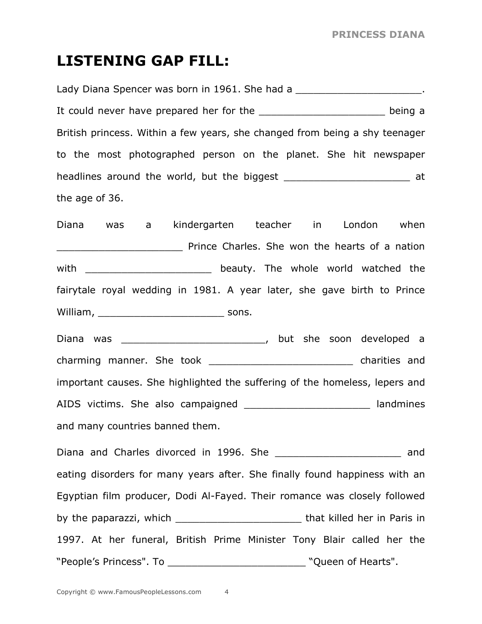#### **LISTENING GAP FILL:**

Lady Diana Spencer was born in 1961. She had a **Lady Diana Spencer was born in 1961**. She had a It could never have prepared her for the \_\_\_\_\_\_\_\_\_\_\_\_\_\_\_\_\_\_\_\_\_\_\_\_\_\_\_\_\_ being a British princess. Within a few years, she changed from being a shy teenager to the most photographed person on the planet. She hit newspaper headlines around the world, but the biggest \_\_\_\_\_\_\_\_\_\_\_\_\_\_\_\_\_\_\_\_\_\_\_\_\_\_\_ at the age of 36.

Diana was a kindergarten teacher in London when **EXECUTE:** Prince Charles. She won the hearts of a nation with \_\_\_\_\_\_\_\_\_\_\_\_\_\_\_\_\_\_\_\_\_\_\_\_\_\_\_ beauty. The whole world watched the fairytale royal wedding in 1981. A year later, she gave birth to Prince William, sons.

Diana was \_\_\_\_\_\_\_\_\_\_\_\_\_\_\_\_\_\_\_\_\_\_\_\_, but she soon developed a charming manner. She took example and charities and important causes. She highlighted the suffering of the homeless, lepers and AIDS victims. She also campaigned and the landmines and many countries banned them.

Diana and Charles divorced in 1996. She **contained and** and eating disorders for many years after. She finally found happiness with an Egyptian film producer, Dodi Al-Fayed. Their romance was closely followed by the paparazzi, which \_\_\_\_\_\_\_\_\_\_\_\_\_\_\_\_\_\_\_\_\_\_\_\_\_\_\_\_\_\_\_\_\_that killed her in Paris in 1997. At her funeral, British Prime Minister Tony Blair called her the "People's Princess". To \_\_\_\_\_\_\_\_\_\_\_\_\_\_\_\_\_\_\_\_\_\_\_ "Queen of Hearts".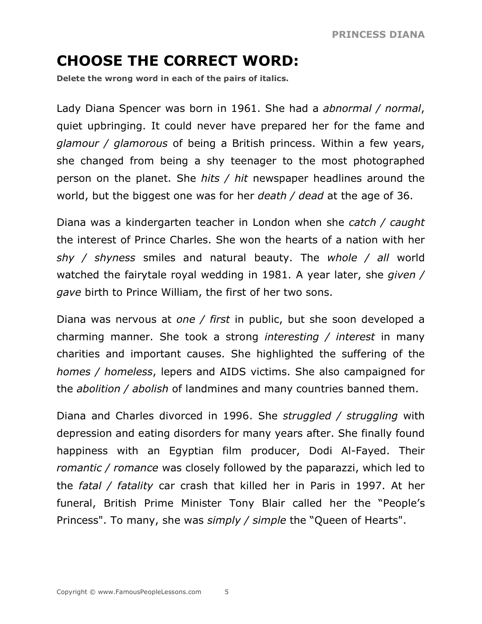## **CHOOSE THE CORRECT WORD:**

**Delete the wrong word in each of the pairs of italics.**

Lady Diana Spencer was born in 1961. She had a *abnormal / normal*, quiet upbringing. It could never have prepared her for the fame and *glamour / glamorous* of being a British princess. Within a few years, she changed from being a shy teenager to the most photographed person on the planet. She *hits / hit* newspaper headlines around the world, but the biggest one was for her *death / dead* at the age of 36.

Diana was a kindergarten teacher in London when she *catch / caught* the interest of Prince Charles. She won the hearts of a nation with her *shy / shyness* smiles and natural beauty. The *whole / all* world watched the fairytale royal wedding in 1981. A year later, she *given / gave* birth to Prince William, the first of her two sons.

Diana was nervous at *one / first* in public, but she soon developed a charming manner. She took a strong *interesting / interest* in many charities and important causes. She highlighted the suffering of the *homes / homeless*, lepers and AIDS victims. She also campaigned for the *abolition / abolish* of landmines and many countries banned them.

Diana and Charles divorced in 1996. She *struggled / struggling* with depression and eating disorders for many years after. She finally found happiness with an Egyptian film producer, Dodi Al-Fayed. Their *romantic / romance* was closely followed by the paparazzi, which led to the *fatal / fatality* car crash that killed her in Paris in 1997. At her funeral, British Prime Minister Tony Blair called her the "People's Princess". To many, she was *simply / simple* the "Queen of Hearts".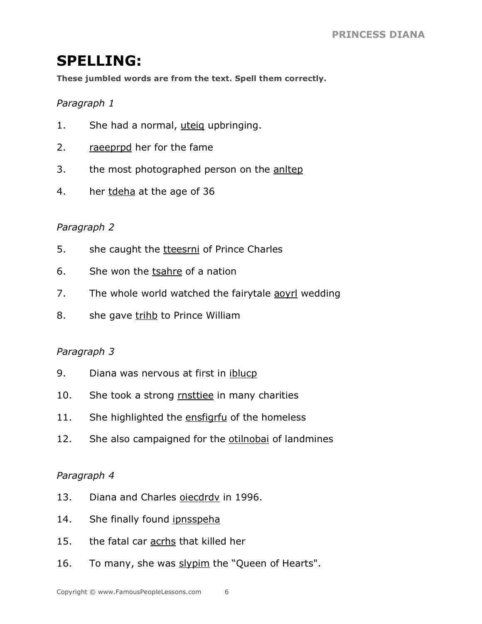## **SPELLING:**

**These jumbled words are from the text. Spell them correctly.**

#### *Paragraph 1*

- 1. She had a normal, uteig upbringing.
- 2. raeeprpd her for the fame
- 3. the most photographed person on the anltep
- 4. her tdeha at the age of 36

#### *Paragraph 2*

- 5. she caught the the teesrni of Prince Charles
- 6. She won the tsahre of a nation
- 7. The whole world watched the fairytale aoyrl wedding
- 8. she gave trihb to Prince William

#### *Paragraph 3*

- 9. Diana was nervous at first in iblucp
- 10. She took a strong **rnsttiee** in many charities
- 11. She highlighted the ensfigrfu of the homeless
- 12. She also campaigned for the otilnobal of landmines

#### *Paragraph 4*

- 13. Diana and Charles oiecdrdy in 1996.
- 14. She finally found ipnsspeha
- 15. the fatal car acrhs that killed her
- 16. To many, she was slypim the "Queen of Hearts".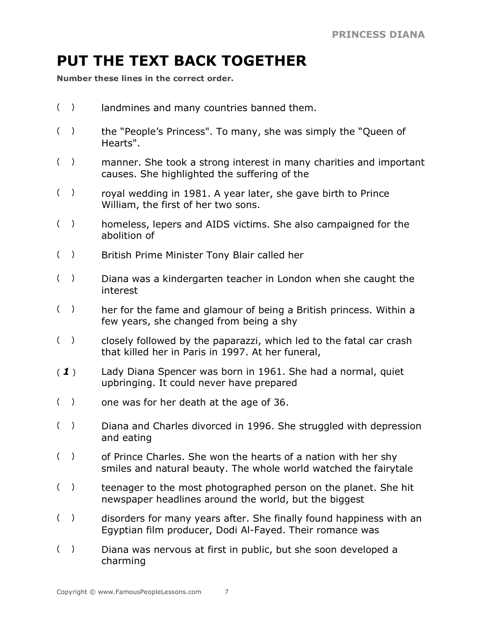## **PUT THE TEXT BACK TOGETHER**

**Number these lines in the correct order.**

- ( ) landmines and many countries banned them.
- ( ) the "People's Princess". To many, she was simply the "Queen of Hearts".
- ( ) manner. She took a strong interest in many charities and important causes. She highlighted the suffering of the
- ( ) royal wedding in 1981. A year later, she gave birth to Prince William, the first of her two sons.
- () homeless, lepers and AIDS victims. She also campaigned for the abolition of
- ( ) British Prime Minister Tony Blair called her
- ( ) Diana was a kindergarten teacher in London when she caught the interest
- () her for the fame and glamour of being a British princess. Within a few years, she changed from being a shy
- ( ) closely followed by the paparazzi, which led to the fatal car crash that killed her in Paris in 1997. At her funeral,
- ( *1* ) Lady Diana Spencer was born in 1961. She had a normal, quiet upbringing. It could never have prepared
- ( ) one was for her death at the age of 36.
- ( ) Diana and Charles divorced in 1996. She struggled with depression and eating
- () of Prince Charles. She won the hearts of a nation with her shy smiles and natural beauty. The whole world watched the fairytale
- ( ) teenager to the most photographed person on the planet. She hit newspaper headlines around the world, but the biggest
- () disorders for many years after. She finally found happiness with an Egyptian film producer, Dodi Al-Fayed. Their romance was
- ( ) Diana was nervous at first in public, but she soon developed a charming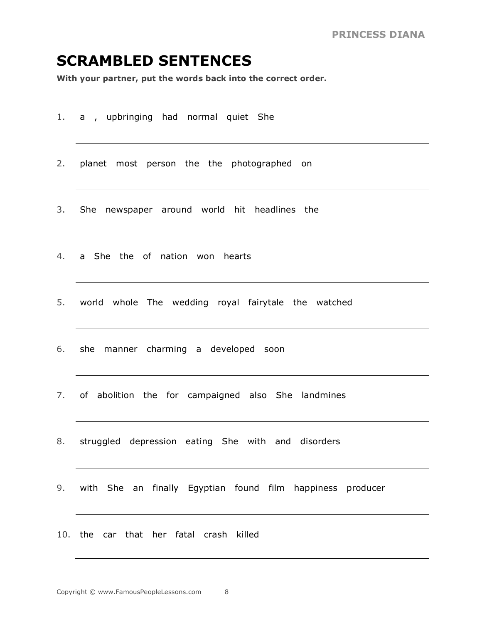#### **SCRAMBLED SENTENCES**

**With your partner, put the words back into the correct order.**

- 1. a , upbringing had normal quiet She
- 2. planet most person the the photographed on
- 3. She newspaper around world hit headlines the
- 4. a She the of nation won hearts
- 5. world whole The wedding royal fairytale the watched
- 6. she manner charming a developed soon
- 7. of abolition the for campaigned also She landmines
- 8. struggled depression eating She with and disorders
- 9. with She an finally Egyptian found film happiness producer
- 10. the car that her fatal crash killed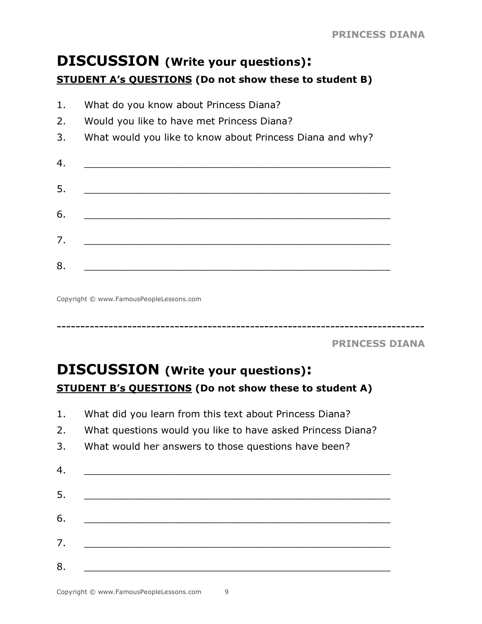### **DISCUSSION (Write your questions): STUDENT A's QUESTIONS (Do not show these to student B)**

1. What do you know about Princess Diana? 2. Would you like to have met Princess Diana? 3. What would you like to know about Princess Diana and why? 4. \_\_\_\_\_\_\_\_\_\_\_\_\_\_\_\_\_\_\_\_\_\_\_\_\_\_\_\_\_\_\_\_\_\_\_\_\_\_\_\_\_\_\_\_\_\_\_\_\_\_\_ 5. \_\_\_\_\_\_\_\_\_\_\_\_\_\_\_\_\_\_\_\_\_\_\_\_\_\_\_\_\_\_\_\_\_\_\_\_\_\_\_\_\_\_\_\_\_\_\_\_\_\_\_ 6. \_\_\_\_\_\_\_\_\_\_\_\_\_\_\_\_\_\_\_\_\_\_\_\_\_\_\_\_\_\_\_\_\_\_\_\_\_\_\_\_\_\_\_\_\_\_\_\_\_\_\_ 7. \_\_\_\_\_\_\_\_\_\_\_\_\_\_\_\_\_\_\_\_\_\_\_\_\_\_\_\_\_\_\_\_\_\_\_\_\_\_\_\_\_\_\_\_\_\_\_\_\_\_\_ 8. \_\_\_\_\_\_\_\_\_\_\_\_\_\_\_\_\_\_\_\_\_\_\_\_\_\_\_\_\_\_\_\_\_\_\_\_\_\_\_\_\_\_\_\_\_\_\_\_\_\_\_

Copyright © www.FamousPeopleLessons.com

**PRINCESS DIANA**

## **DISCUSSION (Write your questions): STUDENT B's QUESTIONS (Do not show these to student A)**

1. What did you learn from this text about Princess Diana?

------------------------------------------------------------------------------

- 2. What questions would you like to have asked Princess Diana?
- 3. What would her answers to those questions have been?

| 4. |  |
|----|--|
| 5. |  |
| 6. |  |
| 7. |  |
| 8. |  |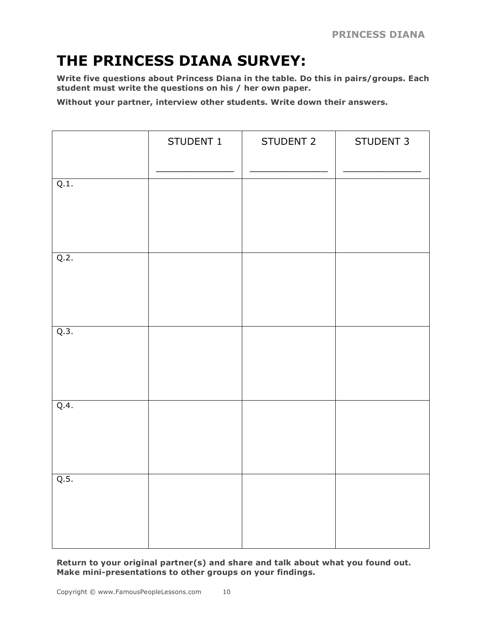## **THE PRINCESS DIANA SURVEY:**

**Write five questions about Princess Diana in the table. Do this in pairs/groups. Each student must write the questions on his / her own paper.**

**Without your partner, interview other students. Write down their answers.**

|      | STUDENT 1 | STUDENT 2 | STUDENT 3 |
|------|-----------|-----------|-----------|
| Q.1. |           |           |           |
| Q.2. |           |           |           |
| Q.3. |           |           |           |
| Q.4. |           |           |           |
| Q.5. |           |           |           |

**Return to your original partner(s) and share and talk about what you found out. Make mini-presentations to other groups on your findings.**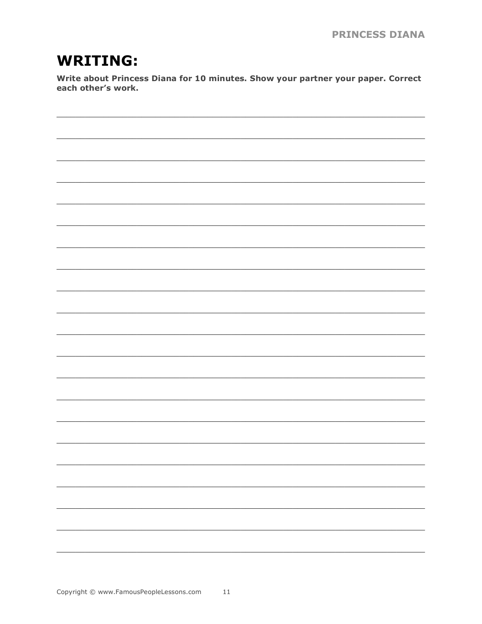## **WRITING:**

Write about Princess Diana for 10 minutes. Show your partner your paper. Correct each other's work.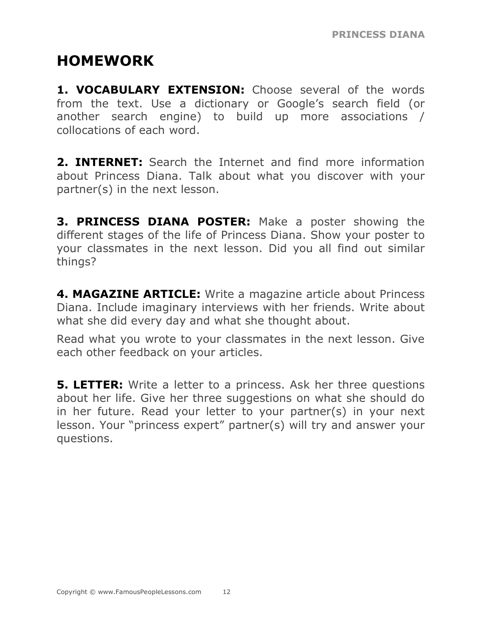## **HOMEWORK**

**1. VOCABULARY EXTENSION:** Choose several of the words from the text. Use a dictionary or Google's search field (or another search engine) to build up more associations / collocations of each word.

**2. INTERNET:** Search the Internet and find more information about Princess Diana. Talk about what you discover with your partner(s) in the next lesson.

**3. PRINCESS DIANA POSTER:** Make a poster showing the different stages of the life of Princess Diana. Show your poster to your classmates in the next lesson. Did you all find out similar things?

**4. MAGAZINE ARTICLE:** Write a magazine article about Princess Diana. Include imaginary interviews with her friends. Write about what she did every day and what she thought about.

Read what you wrote to your classmates in the next lesson. Give each other feedback on your articles.

**5. LETTER:** Write a letter to a princess. Ask her three questions about her life. Give her three suggestions on what she should do in her future. Read your letter to your partner(s) in your next lesson. Your "princess expert" partner(s) will try and answer your questions.